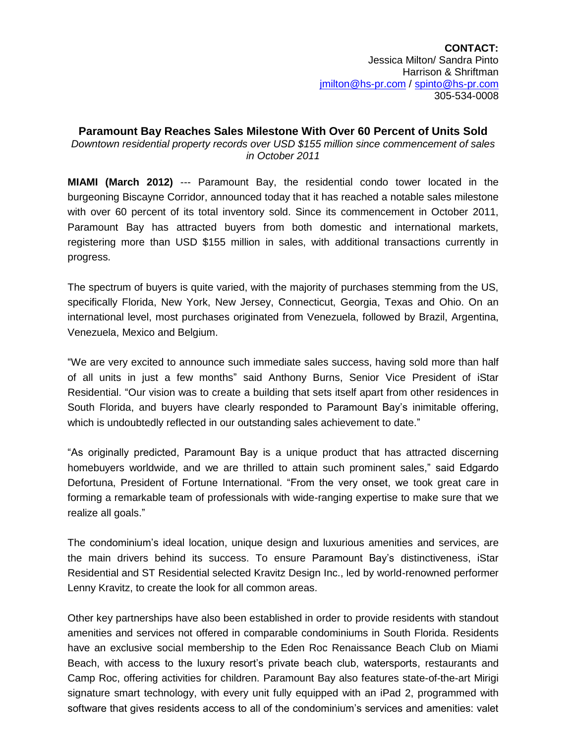# **Paramount Bay Reaches Sales Milestone With Over 60 Percent of Units Sold**  *Downtown residential property records over USD \$155 million since commencement of sales in October 2011*

**MIAMI (March 2012)** --- Paramount Bay, the residential condo tower located in the burgeoning Biscayne Corridor, announced today that it has reached a notable sales milestone with over 60 percent of its total inventory sold. Since its commencement in October 2011, Paramount Bay has attracted buyers from both domestic and international markets, registering more than USD \$155 million in sales, with additional transactions currently in progress.

The spectrum of buyers is quite varied, with the majority of purchases stemming from the US, specifically Florida, New York, New Jersey, Connecticut, Georgia, Texas and Ohio. On an international level, most purchases originated from Venezuela, followed by Brazil, Argentina, Venezuela, Mexico and Belgium.

"We are very excited to announce such immediate sales success, having sold more than half of all units in just a few months" said Anthony Burns, Senior Vice President of iStar Residential. "Our vision was to create a building that sets itself apart from other residences in South Florida, and buyers have clearly responded to Paramount Bay's inimitable offering, which is undoubtedly reflected in our outstanding sales achievement to date."

"As originally predicted, Paramount Bay is a unique product that has attracted discerning homebuyers worldwide, and we are thrilled to attain such prominent sales," said Edgardo Defortuna, President of Fortune International. "From the very onset, we took great care in forming a remarkable team of professionals with wide-ranging expertise to make sure that we realize all goals."

The condominium's ideal location, unique design and luxurious amenities and services, are the main drivers behind its success. To ensure Paramount Bay's distinctiveness, iStar Residential and ST Residential selected Kravitz Design Inc., led by world-renowned performer Lenny Kravitz, to create the look for all common areas.

Other key partnerships have also been established in order to provide residents with standout amenities and services not offered in comparable condominiums in South Florida. Residents have an exclusive social membership to the Eden Roc Renaissance Beach Club on Miami Beach, with access to the luxury resort's private beach club, watersports, restaurants and Camp Roc, offering activities for children. Paramount Bay also features state-of-the-art Mirigi signature smart technology, with every unit fully equipped with an iPad 2, programmed with software that gives residents access to all of the condominium's services and amenities: valet